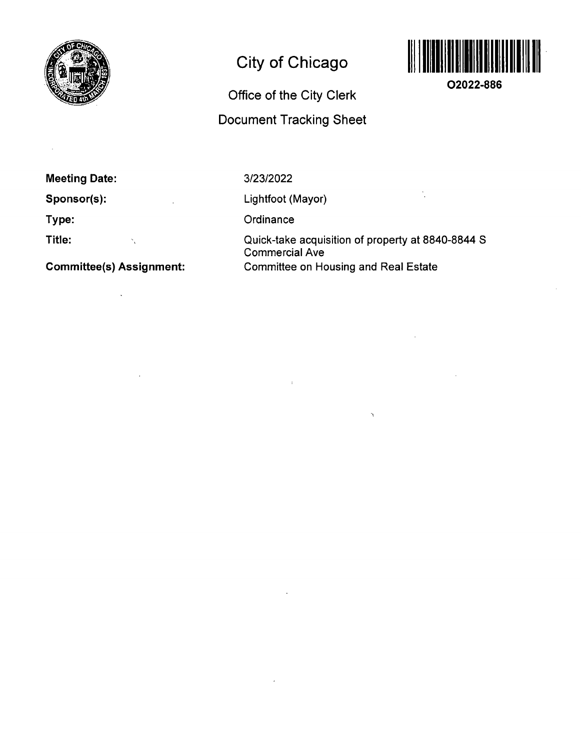

# **City of Chicago**

# Office of the City Clerk

# Document Tracking Sheet



**02022-886** 

Ň,

### **Meeting Date:**

**Sponsor(s):** 

**Type:** 

**Title:**   $\sim 10^{-10}$   $\rm{M}_{\odot}$ 

**Committee(s) Assignment:** 

 $\bar{\mathcal{A}}$ 

#### 3/23/2022

Lightfoot (Mayor)

**Ordinance** 

Quick-take acquisition of property at 8840-8844 S Commercial Ave Committee on Housing and Real Estate

 $\bar{r}$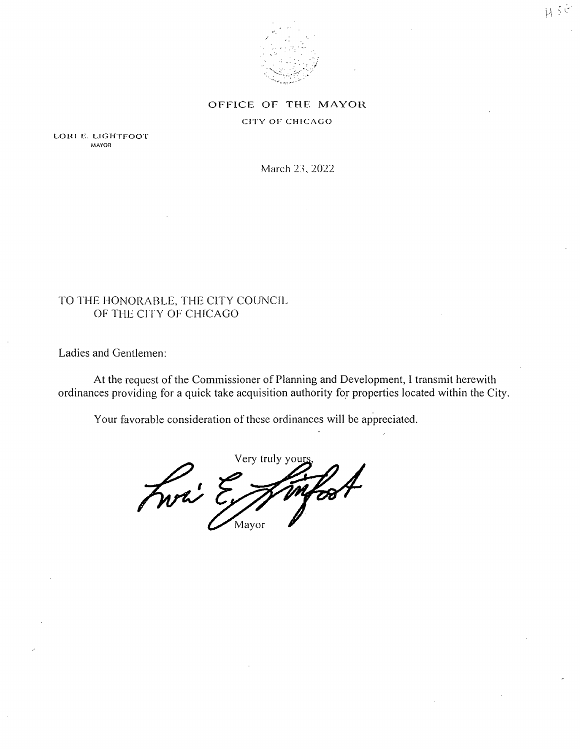

#### OFFICE OF THE MAYOR

#### CITY OF CHICAGO

LORI E. LIGHTFOOT MAYOR

March 23, 2022

#### TO THE HONORABLE, THE CITY COUNCIL OF THE CITY OF CHICAGO

Ladies and Gentlemen:

At the request of the Commissioner of Planning and Development, 1 transmit herewith ordinances providing for a quick take acquisition authority for properties located within the City.

Your favorable consideration of these ordinances will be appreciated.

Very truly you! Fwai Mayor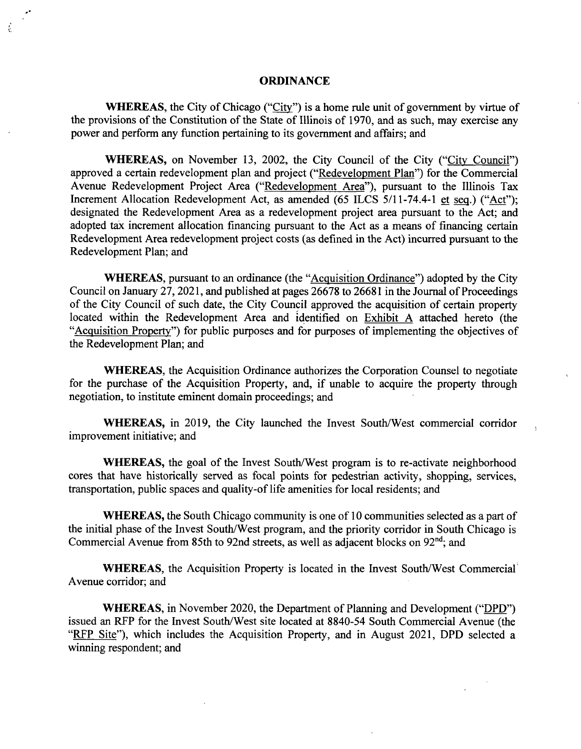#### **ORDINANCE**

WHEREAS, the City of Chicago ("City") is a home rule unit of government by virtue of the provisions of the Constitution of the State of Illinois of 1970, and as such, may exercise any power and perform any function pertaining to its govemment and affairs; and

WHEREAS, on November 13, 2002, the City Council of the City ("City Council") approved a certain redevelopment plan and project ("Redevelopment Plan") for the Commercial Avenue Redevelopment Project Area ("Redevelopment Area"), pursuant to the Illinois Tax Increment Allocation Redevelopment Act, as amended (65 ILCS 5/11-74.4-1 et seg.) ("Act"); designated the Redevelopment Area as a redevelopment project area pursuant to the Act; and adopted tax increment allocation financing pursuant to the Act as a means of financing certain Redevelopment Area redevelopment project costs (as defined in the Act) incurred pursuant to the Redevelopment Plan; and

WHEREAS, pursuant to an ordinance (the "Acquisition Ordinance") adopted by the City Council on January 27,2021, and published at pages 26678 to 26681 in the Joumal of Proceedings of the City Council of such date, the City Council approved the acquisition of certain property located within the Redevelopment Area and identified on Exhibit A attached hereto (the "Acquisition Propertv") for public purposes and for purposes of implementing the objectives of the Redevelopment Plan; and

WHEREAS, the Acquisition Ordinance authorizes the Corporation Counsel to negotiate for the purchase of the Acquisition Property, and, if unable to acquire the property through negotiation, to institute eminent domain proceedings; and

WHEREAS, in 2019, the City launched the Invest South/West commercial corridor improvement initiative; and

WHEREAS, the goal of the Invest South/West program is to re-activate neighborhood cores that have historically served as focal points for pedestrian activity, shopping, services, transportation, public spaces and quality-of life amenities for local residents; and

WHEREAS, the South Chicago community is one of 10 communities selected as a part of the initial phase of the Invest South/West program, and the priority corridor in South Chicago is Commercial Avenue from 85th to 92nd streets, as well as adjacent blocks on  $92<sup>nd</sup>$ ; and

WHEREAS, the Acquisition Property is located in the Invest South/West Commercial Avenue corridor; and

WHEREAS, in November 2020, the Department of Planning and Development ("DPD") issued an RFP for the Invest South/West site located at 8840-54 South Commercial Avenue (the "RFP Site"), which includes the Acquisition Property, and in August 2021, DPD selected a winning respondent; and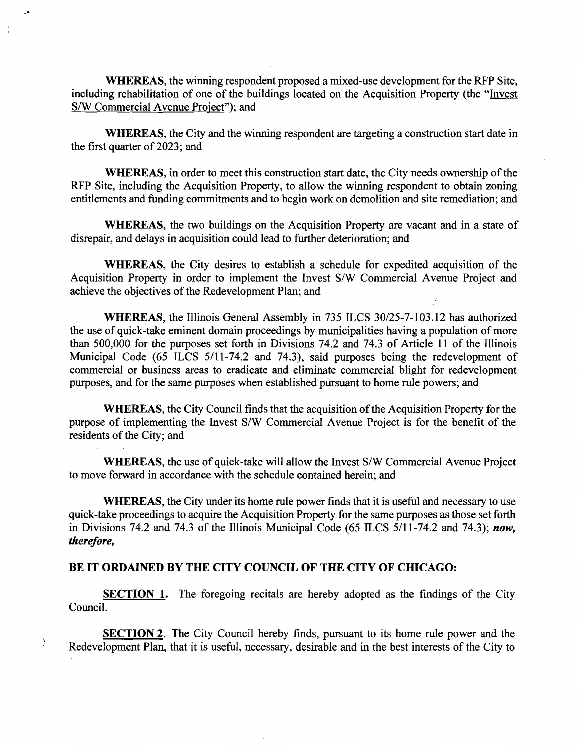WHEREAS, the winning respondent proposed a mixed-use development for the RFP Site, including rehabilitation of one of the buildings located on the Acquisition Property (the "Invest S/W Commercial Avenue Project"); and

WHEREAS, the City and the winning respondent are targeting a construction start date in the first quarter of 2023; and

WHEREAS, in order to meet this construction start date, the City needs ownership of the RFP Site, including the Acquisition Property, to allow the winning respondent to obtain zoning entitlements and funding commitments and to begin work on demolition and site remediation; and

WHEREAS, the two buildings on the Acquisition Property are vacant and in a state of disrepair, and delays in acquisition could lead to further deterioration; and

WHEREAS, the City desires to establish a schedule for expedited acquisition of the Acquisition Property in order to implement the Invest S/W Commercial Avenue Project and achieve the objectives of the Redevelopment Plan; and

WHEREAS, the Illinois General Assembly in 735 ILCS 30/25-7-103.12 has authorized the use of quick-take eminent domain proceedings by municipalities having a population of more than 500,000 for the purposes set forth in Divisions 74.2 and 74.3 of Article 11 of the Illinois Municipal Code (65 ILCS 5/11-74.2 and 74.3), said purposes being the redevelopment of commercial or business areas to eradicate and eliminate commercial blight for redevelopment purposes, and for the same purposes when established pursuant to home rule powers; and

WHEREAS, the City Council finds that the acquisition of the Acquisition Property for the purpose of implementing the Invest S/W Commercial Avenue Project is for the benefit of the residents of the City; and

WHEREAS, the use of quick-take will allow the Invest S/W Commercial Avenue Project to move forward in accordance with the schedule contained herein; and

*WHEREAS, the City under its home mle power finds that it is useful and necessary to use quick-take proceedings to acquire the Acquisition Property for the same purposes as those set forth*  in Divisions 74.2 and 74.3 of the Illinois Municipal Code (65 ILCS 5/11-74.2 and 74.3); now, *therefore,* 

#### **BE IT ORDAINED BY THE CITY COUNCIL OF THE CITY OF CHICAGO:**

Ì

SECTION 1. The foregoing recitals are hereby adopted as the findings of the City Council.

SECTION 2. The City Council hereby finds, pursuant to its home rule power and the Redevelopment Plan, that it is useful, necessary, desirable and in the best interests of the City to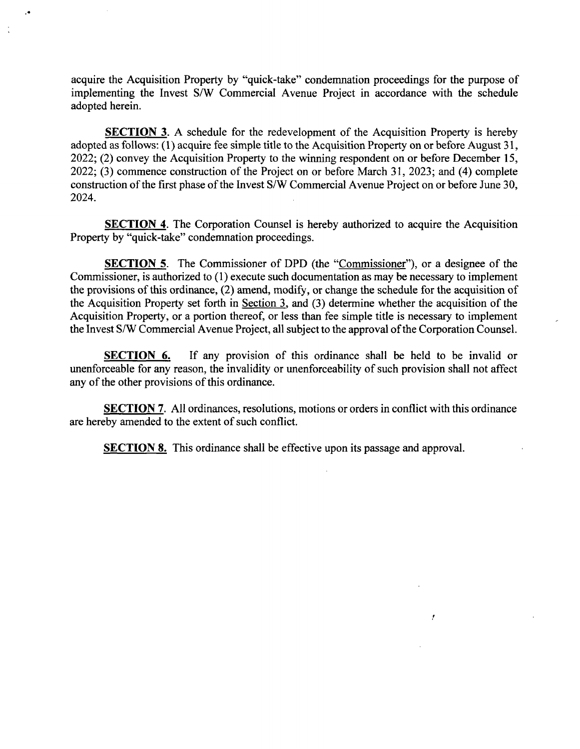acquire the Acquisition Property by "quick-take" condemnation proceedings for the purpose of implementing the Invest S/W Commercial Avenue Project in accordance with the schedule adopted herein.

SECTION 3. A schedule for the redevelopment of the Acquisition Property is hereby adopted as follows: (1) acquire fee simple title to the Acquisition Property on or before August 31, 2022; (2) convey the Acquisition Property to the winning respondent on or before December 15, 2022; (3) commence constmction of the Project on or before March 31, 2023; and (4) complete constmction of the first phase of the Invest S/W Commercial Avenue Project on or before June 30, 2024.

**SECTION 4.** The Corporation Counsel is hereby authorized to acquire the Acquisition Property by "quick-take" condemnation proceedings.

**SECTION 5.** The Commissioner of DPD (the "Commissioner"), or a designee of the Commissioner, is authorized to (1) execute such documentation as may be necessary to implement the provisions of this ordinance, (2) amend, modify, or change the schedule for the acquisition of the Acquisition Property set forth in Section 3. and (3) detennine whether the acquisition of the Acquisition Property, or a portion thereof, or less than fee simple title is necessary to implement the Invest S/W Commercial Avenue Project, all subject to the approval of the Corporation Counsel.

SECTION 6. If any provision of this ordinance shall be held to be invalid or unenforceable for any reason, the invalidity or imenforceability of such provision shall not affect any of the other provisions of this ordinance.

SECTION 7. All ordinances, resolutions, motions or orders in conflict with this ordinance are hereby amended to the extent of such conflict.

y.

**SECTION 8.** This ordinance shall be effective upon its passage and approval.